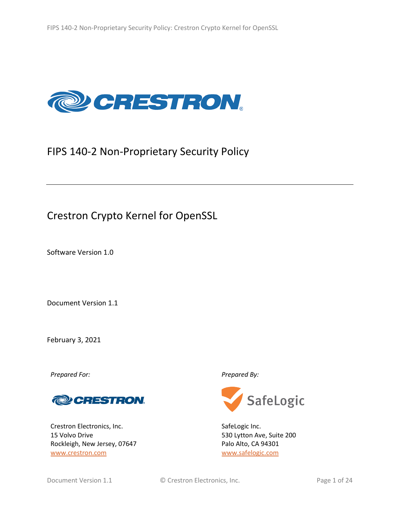

# FIPS 140-2 Non-Proprietary Security Policy

# Crestron Crypto Kernel for OpenSSL

Software Version 1.0

Document Version 1.1

February 3, 2021

*Prepared For: Prepared By:*



Crestron Electronics, Inc. 15 Volvo Drive Rockleigh, New Jersey, 07647 [www.crestron.com](http://www.crestron.com/)



SafeLogic Inc. 530 Lytton Ave, Suite 200 Palo Alto, CA 94301 [www.safelogic.com](http://www.safelogic.com/)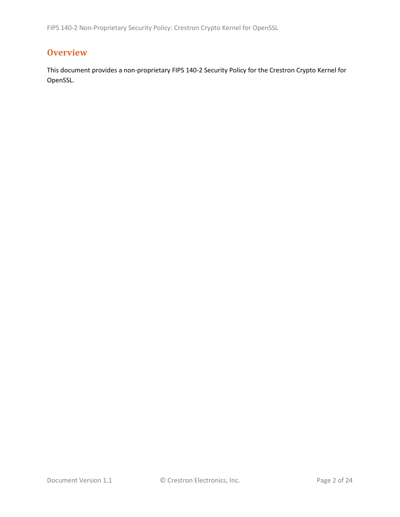FIPS 140-2 Non-Proprietary Security Policy: Crestron Crypto Kernel for OpenSSL

# **Overview**

This document provides a non-proprietary FIPS 140-2 Security Policy for the Crestron Crypto Kernel for OpenSSL.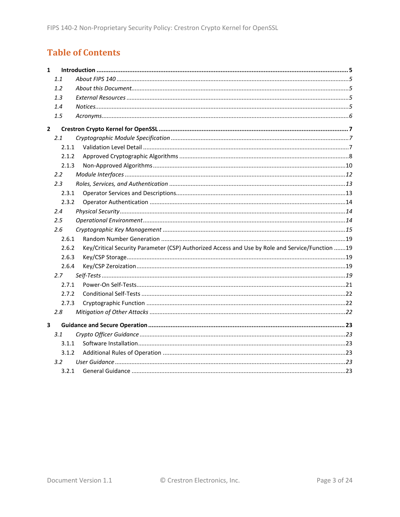# **Table of Contents**

| $\mathbf{1}$            |               |                                                                                                 |  |
|-------------------------|---------------|-------------------------------------------------------------------------------------------------|--|
|                         | 1.1           |                                                                                                 |  |
|                         | 1.2           |                                                                                                 |  |
|                         | 1.3           |                                                                                                 |  |
|                         | 1.4           |                                                                                                 |  |
|                         | 1.5           |                                                                                                 |  |
| $\mathbf{2}$            |               |                                                                                                 |  |
|                         | 2.1           |                                                                                                 |  |
|                         | 2.1.1         |                                                                                                 |  |
|                         | 2.1.2         |                                                                                                 |  |
|                         | 2.1.3         |                                                                                                 |  |
|                         | $2.2^{\circ}$ |                                                                                                 |  |
|                         | 2.3           |                                                                                                 |  |
|                         | 2.3.1         |                                                                                                 |  |
|                         | 2.3.2         |                                                                                                 |  |
|                         | 2.4           |                                                                                                 |  |
|                         | 2.5           |                                                                                                 |  |
|                         | 2.6           |                                                                                                 |  |
|                         | 2.6.1         |                                                                                                 |  |
|                         | 2.6.2         | Key/Critical Security Parameter (CSP) Authorized Access and Use by Role and Service/Function 19 |  |
|                         | 2.6.3         |                                                                                                 |  |
|                         | 2.6.4         |                                                                                                 |  |
|                         | 2.7           |                                                                                                 |  |
|                         | 2.7.1         |                                                                                                 |  |
|                         | 2.7.2         |                                                                                                 |  |
|                         | 2.7.3         |                                                                                                 |  |
|                         | 2.8           |                                                                                                 |  |
| $\overline{\mathbf{3}}$ |               |                                                                                                 |  |
|                         | 3.1           |                                                                                                 |  |
|                         | 3.1.1         |                                                                                                 |  |
|                         | 3.1.2         |                                                                                                 |  |
|                         | $3.2^{\circ}$ |                                                                                                 |  |
|                         | 3.2.1         |                                                                                                 |  |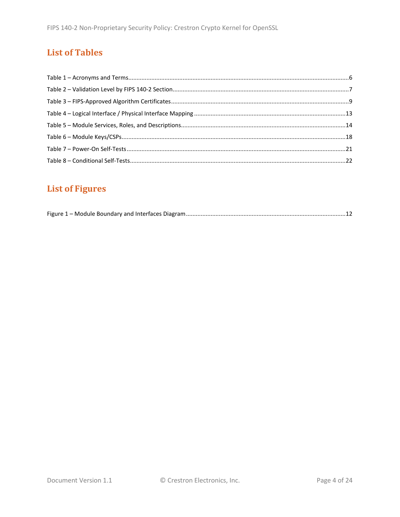# **List of Tables**

# **List of Figures**

|--|--|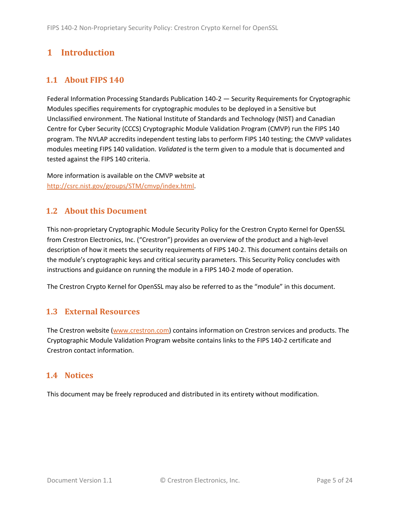# <span id="page-4-0"></span>**1 Introduction**

## <span id="page-4-1"></span>**1.1 About FIPS 140**

Federal Information Processing Standards Publication 140-2 — Security Requirements for Cryptographic Modules specifies requirements for cryptographic modules to be deployed in a Sensitive but Unclassified environment. The National Institute of Standards and Technology (NIST) and Canadian Centre for Cyber Security (CCCS) Cryptographic Module Validation Program (CMVP) run the FIPS 140 program. The NVLAP accredits independent testing labs to perform FIPS 140 testing; the CMVP validates modules meeting FIPS 140 validation. *Validated* is the term given to a module that is documented and tested against the FIPS 140 criteria.

More information is available on the CMVP website at [http://csrc.nist.gov/groups/STM/cmvp/index.html.](http://csrc.nist.gov/groups/STM/cmvp/index.html)

## <span id="page-4-2"></span>**1.2 About this Document**

This non-proprietary Cryptographic Module Security Policy for the Crestron Crypto Kernel for OpenSSL from Crestron Electronics, Inc. ("Crestron") provides an overview of the product and a high-level description of how it meets the security requirements of FIPS 140-2. This document contains details on the module's cryptographic keys and critical security parameters. This Security Policy concludes with instructions and guidance on running the module in a FIPS 140-2 mode of operation.

The Crestron Crypto Kernel for OpenSSL may also be referred to as the "module" in this document.

## <span id="page-4-3"></span>**1.3 External Resources**

The Crestron website [\(www.crestron.com\)](http://www.crestron.com/) contains information on Crestron services and products. The Cryptographic Module Validation Program website contains links to the FIPS 140-2 certificate and Crestron contact information.

#### <span id="page-4-4"></span>**1.4 Notices**

This document may be freely reproduced and distributed in its entirety without modification.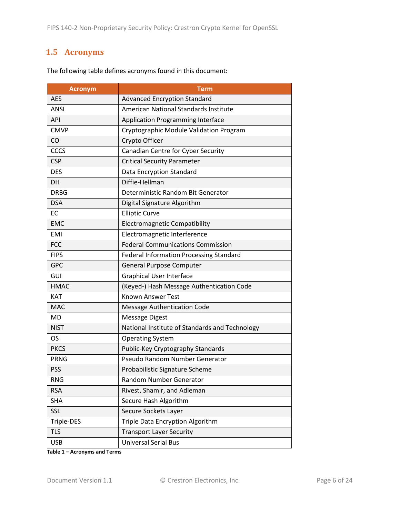# <span id="page-5-0"></span>**1.5 Acronyms**

| <b>Acronym</b> | <b>Term</b>                                    |
|----------------|------------------------------------------------|
| <b>AES</b>     | <b>Advanced Encryption Standard</b>            |
| <b>ANSI</b>    | American National Standards Institute          |
| <b>API</b>     | <b>Application Programming Interface</b>       |
| <b>CMVP</b>    | Cryptographic Module Validation Program        |
| CO             | Crypto Officer                                 |
| <b>CCCS</b>    | Canadian Centre for Cyber Security             |
| <b>CSP</b>     | <b>Critical Security Parameter</b>             |
| <b>DES</b>     | Data Encryption Standard                       |
| DH             | Diffie-Hellman                                 |
| <b>DRBG</b>    | Deterministic Random Bit Generator             |
| <b>DSA</b>     | Digital Signature Algorithm                    |
| EC             | <b>Elliptic Curve</b>                          |
| <b>EMC</b>     | <b>Electromagnetic Compatibility</b>           |
| <b>EMI</b>     | Electromagnetic Interference                   |
| <b>FCC</b>     | <b>Federal Communications Commission</b>       |
| <b>FIPS</b>    | <b>Federal Information Processing Standard</b> |
| <b>GPC</b>     | <b>General Purpose Computer</b>                |
| GUI            | <b>Graphical User Interface</b>                |
| <b>HMAC</b>    | (Keyed-) Hash Message Authentication Code      |
| <b>KAT</b>     | <b>Known Answer Test</b>                       |
| <b>MAC</b>     | <b>Message Authentication Code</b>             |
| <b>MD</b>      | <b>Message Digest</b>                          |
| <b>NIST</b>    | National Institute of Standards and Technology |
| <b>OS</b>      | <b>Operating System</b>                        |
| <b>PKCS</b>    | Public-Key Cryptography Standards              |
| <b>PRNG</b>    | Pseudo Random Number Generator                 |
| <b>PSS</b>     | Probabilistic Signature Scheme                 |
| <b>RNG</b>     | Random Number Generator                        |
| <b>RSA</b>     | Rivest, Shamir, and Adleman                    |
| <b>SHA</b>     | Secure Hash Algorithm                          |
| SSL            | Secure Sockets Layer                           |
| Triple-DES     | Triple Data Encryption Algorithm               |
| <b>TLS</b>     | <b>Transport Layer Security</b>                |
| <b>USB</b>     | <b>Universal Serial Bus</b>                    |

The following table defines acronyms found in this document:

**Table 1 – Acronyms and Terms**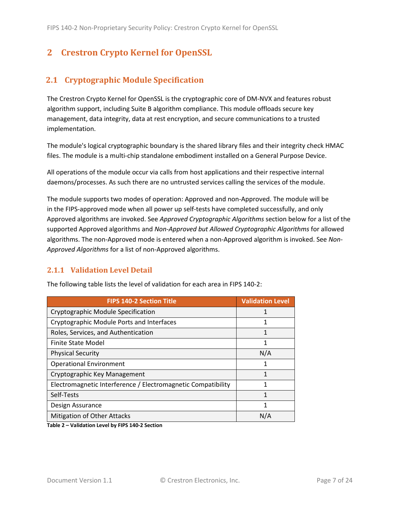# <span id="page-6-0"></span>**2 Crestron Crypto Kernel for OpenSSL**

## <span id="page-6-1"></span>**2.1 Cryptographic Module Specification**

The Crestron Crypto Kernel for OpenSSL is the cryptographic core of DM-NVX and features robust algorithm support, including Suite B algorithm compliance. This module offloads secure key management, data integrity, data at rest encryption, and secure communications to a trusted implementation.

The module's logical cryptographic boundary is the shared library files and their integrity check HMAC files. The module is a multi-chip standalone embodiment installed on a General Purpose Device.

All operations of the module occur via calls from host applications and their respective internal daemons/processes. As such there are no untrusted services calling the services of the module.

The module supports two modes of operation: Approved and non-Approved. The module will be in the FIPS-approved mode when all power up self-tests have completed successfully, and only Approved algorithms are invoked. See *Approved Cryptographic Algorithms* section below for a list of the supported Approved algorithms and *Non-Approved but Allowed Cryptographic Algorithms* for allowed algorithms. The non-Approved mode is entered when a non-Approved algorithm is invoked. See *Non-Approved Algorithms* for a list of non-Approved algorithms.

#### <span id="page-6-2"></span>**2.1.1 Validation Level Detail**

| <b>FIPS 140-2 Section Title</b>                              | <b>Validation Level</b> |
|--------------------------------------------------------------|-------------------------|
| Cryptographic Module Specification                           |                         |
| Cryptographic Module Ports and Interfaces                    |                         |
| Roles, Services, and Authentication                          |                         |
| <b>Finite State Model</b>                                    | 1                       |
| <b>Physical Security</b>                                     | N/A                     |
| <b>Operational Environment</b>                               | 1                       |
| Cryptographic Key Management                                 |                         |
| Electromagnetic Interference / Electromagnetic Compatibility |                         |
| Self-Tests                                                   | 1                       |
| Design Assurance                                             |                         |
| <b>Mitigation of Other Attacks</b>                           | N/A                     |

The following table lists the level of validation for each area in FIPS 140-2:

**Table 2 – Validation Level by FIPS 140-2 Section**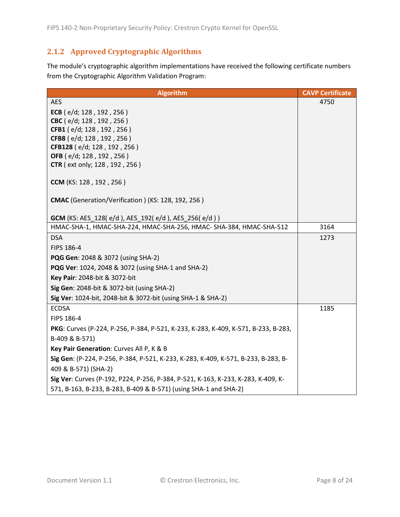# <span id="page-7-0"></span>**2.1.2 Approved Cryptographic Algorithms**

The module's cryptographic algorithm implementations have received the following certificate numbers from the Cryptographic Algorithm Validation Program:

| <b>Algorithm</b>                                                                   | <b>CAVP Certificate</b> |
|------------------------------------------------------------------------------------|-------------------------|
| <b>AES</b>                                                                         | 4750                    |
| ECB ( $e/d$ ; 128, 192, 256)                                                       |                         |
| CBC (e/d; 128, 192, 256)                                                           |                         |
| CFB1 (e/d; 128, 192, 256)                                                          |                         |
| CFB8 (e/d; 128, 192, 256)                                                          |                         |
| CFB128 (e/d; 128, 192, 256)<br>OFB (e/d; 128, 192, 256)                            |                         |
| <b>CTR</b> (ext only; 128, 192, 256)                                               |                         |
|                                                                                    |                         |
| CCM (KS: 128, 192, 256)                                                            |                         |
|                                                                                    |                         |
| <b>CMAC</b> (Generation/Verification) (KS: 128, 192, 256)                          |                         |
|                                                                                    |                         |
| <b>GCM</b> (KS: AES_128(e/d), AES_192(e/d), AES_256(e/d))                          |                         |
| HMAC-SHA-1, HMAC-SHA-224, HMAC-SHA-256, HMAC- SHA-384, HMAC-SHA-512                | 3164                    |
| <b>DSA</b>                                                                         | 1273                    |
| FIPS 186-4                                                                         |                         |
| PQG Gen: 2048 & 3072 (using SHA-2)                                                 |                         |
| PQG Ver: 1024, 2048 & 3072 (using SHA-1 and SHA-2)                                 |                         |
| Key Pair: 2048-bit & 3072-bit                                                      |                         |
| Sig Gen: 2048-bit & 3072-bit (using SHA-2)                                         |                         |
| Sig Ver: 1024-bit, 2048-bit & 3072-bit (using SHA-1 & SHA-2)                       |                         |
| <b>ECDSA</b>                                                                       | 1185                    |
| FIPS 186-4                                                                         |                         |
| PKG: Curves (P-224, P-256, P-384, P-521, K-233, K-283, K-409, K-571, B-233, B-283, |                         |
| B-409 & B-571)                                                                     |                         |
| Key Pair Generation: Curves All P, K & B                                           |                         |
| Sig Gen: (P-224, P-256, P-384, P-521, K-233, K-283, K-409, K-571, B-233, B-283, B- |                         |
| 409 & B-571) (SHA-2)                                                               |                         |
| Sig Ver: Curves (P-192, P224, P-256, P-384, P-521, K-163, K-233, K-283, K-409, K-  |                         |
| 571, B-163, B-233, B-283, B-409 & B-571) (using SHA-1 and SHA-2)                   |                         |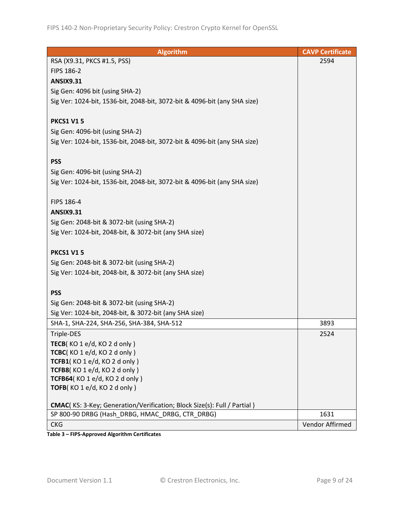| Algorithm                                                                 | <b>CAVP Certificate</b> |
|---------------------------------------------------------------------------|-------------------------|
| RSA (X9.31, PKCS #1.5, PSS)                                               | 2594                    |
| FIPS 186-2                                                                |                         |
| <b>ANSIX9.31</b>                                                          |                         |
| Sig Gen: 4096 bit (using SHA-2)                                           |                         |
| Sig Ver: 1024-bit, 1536-bit, 2048-bit, 3072-bit & 4096-bit (any SHA size) |                         |
|                                                                           |                         |
| <b>PKCS1 V15</b>                                                          |                         |
| Sig Gen: 4096-bit (using SHA-2)                                           |                         |
| Sig Ver: 1024-bit, 1536-bit, 2048-bit, 3072-bit & 4096-bit (any SHA size) |                         |
|                                                                           |                         |
| <b>PSS</b>                                                                |                         |
| Sig Gen: 4096-bit (using SHA-2)                                           |                         |
| Sig Ver: 1024-bit, 1536-bit, 2048-bit, 3072-bit & 4096-bit (any SHA size) |                         |
|                                                                           |                         |
| FIPS 186-4                                                                |                         |
| <b>ANSIX9.31</b>                                                          |                         |
| Sig Gen: 2048-bit & 3072-bit (using SHA-2)                                |                         |
| Sig Ver: 1024-bit, 2048-bit, & 3072-bit (any SHA size)                    |                         |
|                                                                           |                         |
| <b>PKCS1 V15</b>                                                          |                         |
| Sig Gen: 2048-bit & 3072-bit (using SHA-2)                                |                         |
| Sig Ver: 1024-bit, 2048-bit, & 3072-bit (any SHA size)                    |                         |
|                                                                           |                         |
| <b>PSS</b>                                                                |                         |
| Sig Gen: 2048-bit & 3072-bit (using SHA-2)                                |                         |
| Sig Ver: 1024-bit, 2048-bit, & 3072-bit (any SHA size)                    |                         |
| SHA-1, SHA-224, SHA-256, SHA-384, SHA-512                                 | 3893                    |
| Triple-DES                                                                | 2524                    |
| TECB(KO 1 e/d, KO 2 d only)                                               |                         |
| TCBC(KO 1 e/d, KO 2 d only)                                               |                         |
| TCFB1(KO 1 e/d, KO 2 d only)                                              |                         |
| TCFB8(KO 1 e/d, KO 2 d only)                                              |                         |
| TCFB64(KO 1 e/d, KO 2 d only)                                             |                         |
| TOFB(KO 1 e/d, KO 2 d only)                                               |                         |
| CMAC(KS: 3-Key; Generation/Verification; Block Size(s): Full / Partial )  |                         |
| SP 800-90 DRBG (Hash_DRBG, HMAC_DRBG, CTR_DRBG)                           | 1631                    |
| <b>CKG</b>                                                                | Vendor Affirmed         |
|                                                                           |                         |

**Table 3 – FIPS-Approved Algorithm Certificates**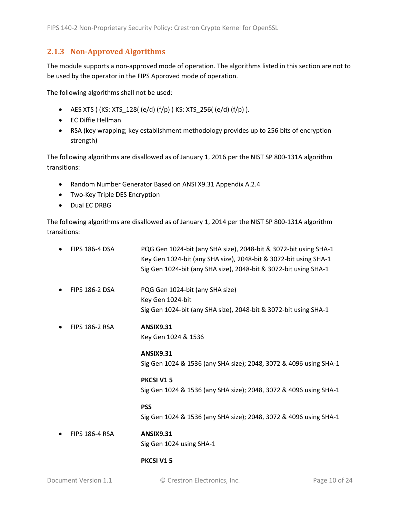#### <span id="page-9-0"></span>**2.1.3 Non-Approved Algorithms**

The module supports a non-approved mode of operation. The algorithms listed in this section are not to be used by the operator in the FIPS Approved mode of operation.

The following algorithms shall not be used:

- AES XTS (  $(KS: XTS_128$  (  $(e/d)$   $(f/p)$  )  $KS: XTS_256$  ( $(e/d)$   $(f/p)$  ).
- EC Diffie Hellman
- RSA (key wrapping; key establishment methodology provides up to 256 bits of encryption strength)

The following algorithms are disallowed as of January 1, 2016 per the NIST SP 800-131A algorithm transitions:

- Random Number Generator Based on ANSI X9.31 Appendix A.2.4
- Two-Key Triple DES Encryption
- Dual EC DRBG

The following algorithms are disallowed as of January 1, 2014 per the NIST SP 800-131A algorithm transitions:

| <b>FIPS 186-4 DSA</b> | PQG Gen 1024-bit (any SHA size), 2048-bit & 3072-bit using SHA-1<br>Key Gen 1024-bit (any SHA size), 2048-bit & 3072-bit using SHA-1<br>Sig Gen 1024-bit (any SHA size), 2048-bit & 3072-bit using SHA-1 |
|-----------------------|----------------------------------------------------------------------------------------------------------------------------------------------------------------------------------------------------------|
| <b>FIPS 186-2 DSA</b> | PQG Gen 1024-bit (any SHA size)<br>Key Gen 1024-bit<br>Sig Gen 1024-bit (any SHA size), 2048-bit & 3072-bit using SHA-1                                                                                  |
| <b>FIPS 186-2 RSA</b> | <b>ANSIX9.31</b><br>Key Gen 1024 & 1536<br><b>ANSIX9.31</b>                                                                                                                                              |
|                       | Sig Gen 1024 & 1536 (any SHA size); 2048, 3072 & 4096 using SHA-1                                                                                                                                        |
|                       | <b>PKCSI V15</b><br>Sig Gen 1024 & 1536 (any SHA size); 2048, 3072 & 4096 using SHA-1                                                                                                                    |
|                       | <b>PSS</b><br>Sig Gen 1024 & 1536 (any SHA size); 2048, 3072 & 4096 using SHA-1                                                                                                                          |
| <b>FIPS 186-4 RSA</b> | <b>ANSIX9.31</b><br>Sig Gen 1024 using SHA-1                                                                                                                                                             |

#### **PKCSI V1 5**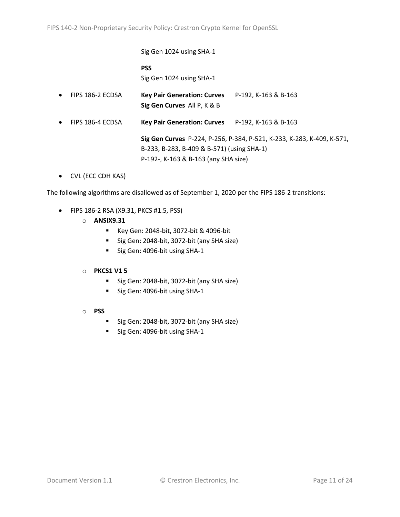Sig Gen 1024 using SHA-1 **PSS** Sig Gen 1024 using SHA-1 • FIPS 186-2 ECDSA **Key Pair Generation: Curves** P-192, K-163 & B-163 **Sig Gen Curves** All P, K & B • FIPS 186-4 ECDSA **Key Pair Generation: Curves** P-192, K-163 & B-163 **Sig Gen Curves** P-224, P-256, P-384, P-521, K-233, K-283, K-409, K-571, B-233, B-283, B-409 & B-571) (using SHA-1)

P-192-, K-163 & B-163 (any SHA size)

• CVL (ECC CDH KAS)

The following algorithms are disallowed as of September 1, 2020 per the FIPS 186-2 transitions:

- FIPS 186-2 RSA (X9.31, PKCS #1.5, PSS)
	- o **ANSIX9.31**
		- Key Gen: 2048-bit, 3072-bit & 4096-bit
		- Sig Gen: 2048-bit, 3072-bit (any SHA size)
		- Sig Gen: 4096-bit using SHA-1

#### o **PKCS1 V1 5**

- Sig Gen: 2048-bit, 3072-bit (any SHA size)
- Sig Gen: 4096-bit using SHA-1
- o **PSS**
	- Sig Gen: 2048-bit, 3072-bit (any SHA size)
	- Sig Gen: 4096-bit using SHA-1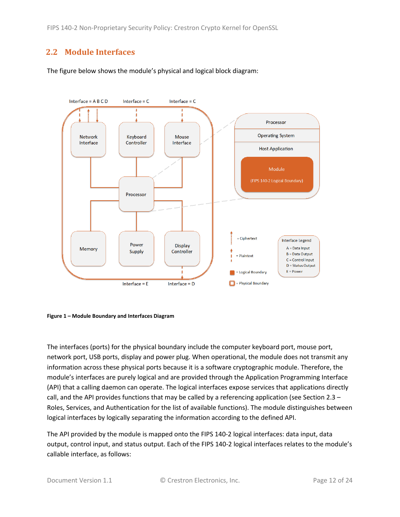FIPS 140-2 Non-Proprietary Security Policy: Crestron Crypto Kernel for OpenSSL

## <span id="page-11-0"></span>**2.2 Module Interfaces**

The figure below shows the module's physical and logical block diagram:



<span id="page-11-1"></span>

The interfaces (ports) for the physical boundary include the computer keyboard port, mouse port, network port, USB ports, display and power plug. When operational, the module does not transmit any information across these physical ports because it is a software cryptographic module. Therefore, the module's interfaces are purely logical and are provided through the Application Programming Interface (API) that a calling daemon can operate. The logical interfaces expose services that applications directly call, and the API provides functions that may be called by a referencing application (see Sectio[n 2.3](#page-12-0) – [Roles, Services, and Authentication](#page-12-0) for the list of available functions). The module distinguishes between logical interfaces by logically separating the information according to the defined API.

The API provided by the module is mapped onto the FIPS 140-2 logical interfaces: data input, data output, control input, and status output. Each of the FIPS 140-2 logical interfaces relates to the module's callable interface, as follows: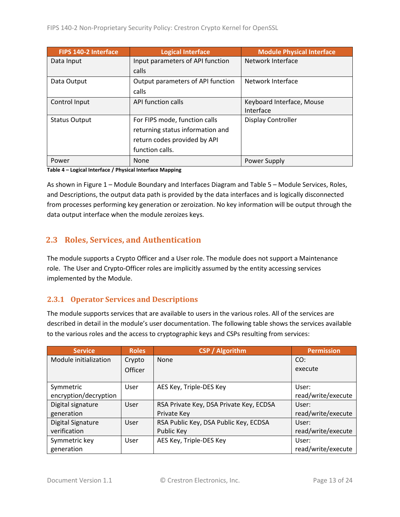| FIPS 140-2 Interface | <b>Logical Interface</b>          | <b>Module Physical Interface</b> |
|----------------------|-----------------------------------|----------------------------------|
| Data Input           | Input parameters of API function  | Network Interface                |
|                      | calls                             |                                  |
| Data Output          | Output parameters of API function | Network Interface                |
|                      | calls                             |                                  |
| Control Input        | API function calls                | Keyboard Interface, Mouse        |
|                      |                                   | Interface                        |
| <b>Status Output</b> | For FIPS mode, function calls     | Display Controller               |
|                      | returning status information and  |                                  |
|                      | return codes provided by API      |                                  |
|                      | function calls.                   |                                  |
| Power                | None                              | Power Supply                     |

**Table 4 – Logical Interface / Physical Interface Mapping**

As shown in Figure 1 – [Module Boundary and Interfaces Diagram](#page-11-1) and Table 5 – Module [Services, Roles,](#page-13-3) [and Descriptions,](#page-13-3) the output data path is provided by the data interfaces and is logically disconnected from processes performing key generation or zeroization. No key information will be output through the data output interface when the module zeroizes keys.

## <span id="page-12-0"></span>**2.3 Roles, Services, and Authentication**

The module supports a Crypto Officer and a User role. The module does not support a Maintenance role. The User and Crypto-Officer roles are implicitly assumed by the entity accessing services implemented by the Module.

#### <span id="page-12-1"></span>**2.3.1 Operator Services and Descriptions**

The module supports services that are available to users in the various roles. All of the services are described in detail in the module's user documentation. The following table shows the services available to the various roles and the access to cryptographic keys and CSPs resulting from services:

| <b>Service</b>           | <b>Roles</b>   | <b>CSP / Algorithm</b>                  | <b>Permission</b>  |
|--------------------------|----------------|-----------------------------------------|--------------------|
| Module initialization    | Crypto         | None                                    | CO:                |
|                          | <b>Officer</b> |                                         | execute            |
|                          |                |                                         |                    |
| Symmetric                | User           | AES Key, Triple-DES Key                 | User:              |
| encryption/decryption    |                |                                         | read/write/execute |
| Digital signature        | User           | RSA Private Key, DSA Private Key, ECDSA | User:              |
| generation               |                | Private Key                             | read/write/execute |
| <b>Digital Signature</b> | User           | RSA Public Key, DSA Public Key, ECDSA   | User:              |
| verification             |                | Public Key                              | read/write/execute |
| Symmetric key            | User           | AES Key, Triple-DES Key                 | User:              |
| generation               |                |                                         | read/write/execute |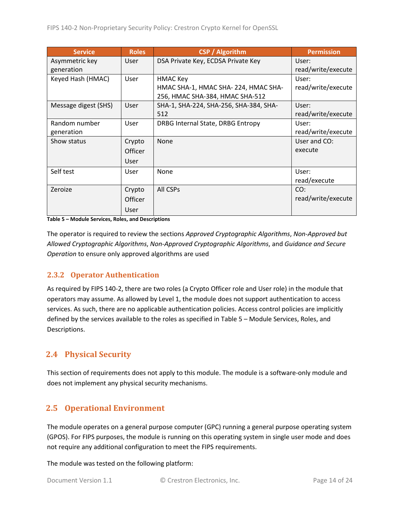| <b>Service</b>       | <b>Roles</b>   | <b>CSP</b> / Algorithm                 | <b>Permission</b>  |
|----------------------|----------------|----------------------------------------|--------------------|
| Asymmetric key       | User           | DSA Private Key, ECDSA Private Key     | User:              |
| generation           |                |                                        | read/write/execute |
| Keyed Hash (HMAC)    | User           | <b>HMAC Key</b>                        | User:              |
|                      |                | HMAC SHA-1, HMAC SHA-224, HMAC SHA-    | read/write/execute |
|                      |                | 256, HMAC SHA-384, HMAC SHA-512        |                    |
| Message digest (SHS) | User           | SHA-1, SHA-224, SHA-256, SHA-384, SHA- | User:              |
|                      |                | 512                                    | read/write/execute |
| Random number        | User           | DRBG Internal State, DRBG Entropy      | User:              |
| generation           |                |                                        | read/write/execute |
| Show status          | Crypto         | <b>None</b>                            | User and CO:       |
|                      | <b>Officer</b> |                                        | execute            |
|                      | User           |                                        |                    |
| Self test            | User           | None                                   | User:              |
|                      |                |                                        | read/execute       |
| Zeroize              | Crypto         | All CSPs                               | CO:                |
|                      | Officer        |                                        | read/write/execute |
|                      | User           |                                        |                    |

<span id="page-13-3"></span>**Table 5 – Module Services, Roles, and Descriptions**

The operator is required to review the sections *Approved Cryptographic Algorithms*, *Non-Approved but Allowed Cryptographic Algorithms*, *Non-Approved Cryptographic Algorithms*, and *Guidance and Secure Operation* to ensure only approved algorithms are used

## <span id="page-13-0"></span>**2.3.2 Operator Authentication**

As required by FIPS 140-2, there are two roles (a Crypto Officer role and User role) in the module that operators may assume. As allowed by Level 1, the module does not support authentication to access services. As such, there are no applicable authentication policies. Access control policies are implicitly defined by the services available to the roles as specified in Table 5 – Module [Services, Roles,](#page-13-3) and [Descriptions.](#page-13-3)

# <span id="page-13-1"></span>**2.4 Physical Security**

This section of requirements does not apply to this module. The module is a software-only module and does not implement any physical security mechanisms.

# <span id="page-13-2"></span>**2.5 Operational Environment**

The module operates on a general purpose computer (GPC) running a general purpose operating system (GPOS). For FIPS purposes, the module is running on this operating system in single user mode and does not require any additional configuration to meet the FIPS requirements.

The module was tested on the following platform: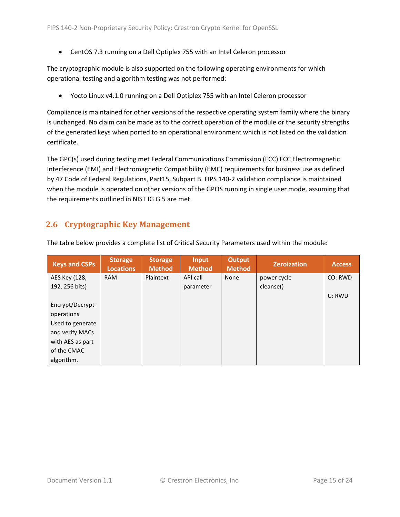• CentOS 7.3 running on a Dell Optiplex 755 with an Intel Celeron processor

The cryptographic module is also supported on the following operating environments for which operational testing and algorithm testing was not performed:

• Yocto Linux v4.1.0 running on a Dell Optiplex 755 with an Intel Celeron processor

Compliance is maintained for other versions of the respective operating system family where the binary is unchanged. No claim can be made as to the correct operation of the module or the security strengths of the generated keys when ported to an operational environment which is not listed on the validation certificate.

The GPC(s) used during testing met Federal Communications Commission (FCC) FCC Electromagnetic Interference (EMI) and Electromagnetic Compatibility (EMC) requirements for business use as defined by 47 Code of Federal Regulations, Part15, Subpart B. FIPS 140-2 validation compliance is maintained when the module is operated on other versions of the GPOS running in single user mode, assuming that the requirements outlined in NIST IG G.5 are met.

## <span id="page-14-0"></span>**2.6 Cryptographic Key Management**

| <b>Keys and CSPs</b> | <b>Storage</b><br><b>Locations</b> | <b>Storage</b><br><b>Method</b> | <b>Input</b><br><b>Method</b> | <b>Output</b><br><b>Method</b> | <b>Zeroization</b> | <b>Access</b> |
|----------------------|------------------------------------|---------------------------------|-------------------------------|--------------------------------|--------------------|---------------|
| AES Key (128,        | <b>RAM</b>                         | Plaintext                       | API call                      | None                           | power cycle        | CO: RWD       |
| 192, 256 bits)       |                                    |                                 | parameter                     |                                | cleanse()          |               |
|                      |                                    |                                 |                               |                                |                    | U: RWD        |
| Encrypt/Decrypt      |                                    |                                 |                               |                                |                    |               |
| operations           |                                    |                                 |                               |                                |                    |               |
| Used to generate     |                                    |                                 |                               |                                |                    |               |
| and verify MACs      |                                    |                                 |                               |                                |                    |               |
| with AES as part     |                                    |                                 |                               |                                |                    |               |
| of the CMAC          |                                    |                                 |                               |                                |                    |               |
| algorithm.           |                                    |                                 |                               |                                |                    |               |

The table below provides a complete list of Critical Security Parameters used within the module: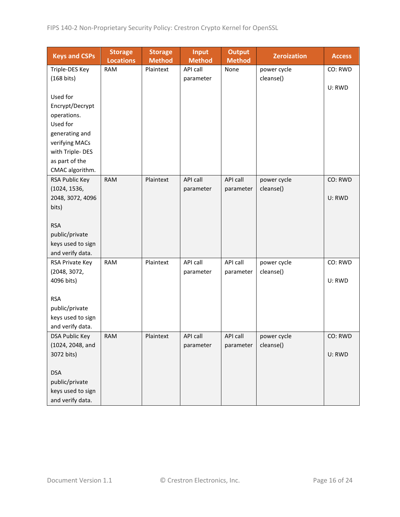| <b>Keys and CSPs</b>  | <b>Storage</b><br><b>Locations</b> | <b>Storage</b><br><b>Method</b> | <b>Input</b><br><b>Method</b> | <b>Output</b><br><b>Method</b> | <b>Zeroization</b> | <b>Access</b> |
|-----------------------|------------------------------------|---------------------------------|-------------------------------|--------------------------------|--------------------|---------------|
| Triple-DES Key        | <b>RAM</b>                         | Plaintext                       | API call                      | None                           | power cycle        | CO: RWD       |
| (168 bits)            |                                    |                                 | parameter                     |                                | cleanse()          |               |
|                       |                                    |                                 |                               |                                |                    | U: RWD        |
| Used for              |                                    |                                 |                               |                                |                    |               |
| Encrypt/Decrypt       |                                    |                                 |                               |                                |                    |               |
| operations.           |                                    |                                 |                               |                                |                    |               |
| Used for              |                                    |                                 |                               |                                |                    |               |
| generating and        |                                    |                                 |                               |                                |                    |               |
| verifying MACs        |                                    |                                 |                               |                                |                    |               |
| with Triple-DES       |                                    |                                 |                               |                                |                    |               |
| as part of the        |                                    |                                 |                               |                                |                    |               |
| CMAC algorithm.       |                                    |                                 |                               |                                |                    |               |
| RSA Public Key        | <b>RAM</b>                         | Plaintext                       | <b>API call</b>               | API call                       | power cycle        | CO: RWD       |
| (1024, 1536,          |                                    |                                 | parameter                     | parameter                      | cleanse()          |               |
| 2048, 3072, 4096      |                                    |                                 |                               |                                |                    | U: RWD        |
| bits)                 |                                    |                                 |                               |                                |                    |               |
|                       |                                    |                                 |                               |                                |                    |               |
| <b>RSA</b>            |                                    |                                 |                               |                                |                    |               |
| public/private        |                                    |                                 |                               |                                |                    |               |
| keys used to sign     |                                    |                                 |                               |                                |                    |               |
| and verify data.      |                                    |                                 |                               |                                |                    |               |
| RSA Private Key       | <b>RAM</b>                         | Plaintext                       | API call                      | API call                       | power cycle        | CO: RWD       |
| (2048, 3072,          |                                    |                                 | parameter                     | parameter                      | cleanse()          |               |
| 4096 bits)            |                                    |                                 |                               |                                |                    | U: RWD        |
| <b>RSA</b>            |                                    |                                 |                               |                                |                    |               |
| public/private        |                                    |                                 |                               |                                |                    |               |
| keys used to sign     |                                    |                                 |                               |                                |                    |               |
| and verify data.      |                                    |                                 |                               |                                |                    |               |
| <b>DSA Public Key</b> | <b>RAM</b>                         | Plaintext                       | API call                      | API call                       | power cycle        | CO: RWD       |
| (1024, 2048, and      |                                    |                                 | parameter                     | parameter                      | cleanse()          |               |
| 3072 bits)            |                                    |                                 |                               |                                |                    | U: RWD        |
|                       |                                    |                                 |                               |                                |                    |               |
| <b>DSA</b>            |                                    |                                 |                               |                                |                    |               |
| public/private        |                                    |                                 |                               |                                |                    |               |
| keys used to sign     |                                    |                                 |                               |                                |                    |               |
| and verify data.      |                                    |                                 |                               |                                |                    |               |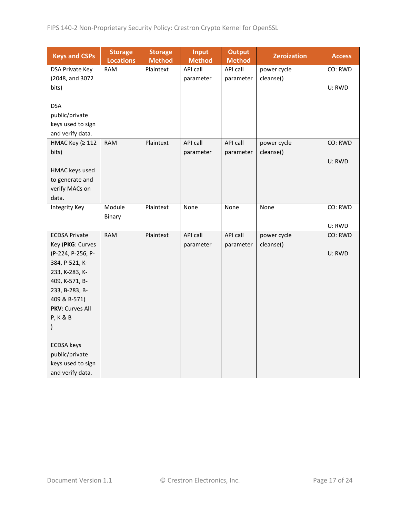| <b>Keys and CSPs</b>              | <b>Storage</b><br><b>Locations</b> | <b>Storage</b><br><b>Method</b> | <b>Input</b><br><b>Method</b> | <b>Output</b><br><b>Method</b> | <b>Zeroization</b> | <b>Access</b> |
|-----------------------------------|------------------------------------|---------------------------------|-------------------------------|--------------------------------|--------------------|---------------|
| DSA Private Key                   | <b>RAM</b>                         | Plaintext                       | API call                      | API call                       | power cycle        | CO: RWD       |
| (2048, and 3072                   |                                    |                                 | parameter                     | parameter                      | cleanse()          |               |
| bits)                             |                                    |                                 |                               |                                |                    | U: RWD        |
|                                   |                                    |                                 |                               |                                |                    |               |
| <b>DSA</b>                        |                                    |                                 |                               |                                |                    |               |
| public/private                    |                                    |                                 |                               |                                |                    |               |
| keys used to sign                 |                                    |                                 |                               |                                |                    |               |
| and verify data.                  |                                    |                                 |                               |                                |                    |               |
| НМАС Кеу (≥ 112                   | <b>RAM</b>                         | Plaintext                       | API call                      | API call                       | power cycle        | CO: RWD       |
| bits)                             |                                    |                                 | parameter                     | parameter                      | cleanse()          |               |
|                                   |                                    |                                 |                               |                                |                    | U: RWD        |
| HMAC keys used<br>to generate and |                                    |                                 |                               |                                |                    |               |
| verify MACs on                    |                                    |                                 |                               |                                |                    |               |
| data.                             |                                    |                                 |                               |                                |                    |               |
| <b>Integrity Key</b>              | Module                             | Plaintext                       | None                          | None                           | None               | CO: RWD       |
|                                   | Binary                             |                                 |                               |                                |                    |               |
|                                   |                                    |                                 |                               |                                |                    | U: RWD        |
| <b>ECDSA Private</b>              | <b>RAM</b>                         | Plaintext                       | API call                      | API call                       | power cycle        | CO: RWD       |
| Key (PKG: Curves                  |                                    |                                 | parameter                     | parameter                      | cleanse()          |               |
| (P-224, P-256, P-                 |                                    |                                 |                               |                                |                    | U: RWD        |
| 384, P-521, K-                    |                                    |                                 |                               |                                |                    |               |
| 233, K-283, K-                    |                                    |                                 |                               |                                |                    |               |
| 409, K-571, B-                    |                                    |                                 |                               |                                |                    |               |
| 233, B-283, B-                    |                                    |                                 |                               |                                |                    |               |
| 409 & B-571)                      |                                    |                                 |                               |                                |                    |               |
| PKV: Curves All                   |                                    |                                 |                               |                                |                    |               |
| <b>P, K &amp; B</b>               |                                    |                                 |                               |                                |                    |               |
| $\mathcal{E}$                     |                                    |                                 |                               |                                |                    |               |
| <b>ECDSA</b> keys                 |                                    |                                 |                               |                                |                    |               |
| public/private                    |                                    |                                 |                               |                                |                    |               |
| keys used to sign                 |                                    |                                 |                               |                                |                    |               |
| and verify data.                  |                                    |                                 |                               |                                |                    |               |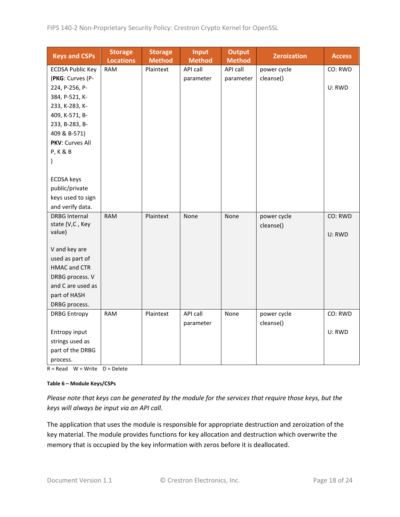| <b>Keys and CSPs</b>    | <b>Storage</b><br><b>Locations</b> | <b>Storage</b><br><b>Method</b> | <b>Input</b><br><b>Method</b> | <b>Output</b><br><b>Method</b> | <b>Zeroization</b> | <b>Access</b> |
|-------------------------|------------------------------------|---------------------------------|-------------------------------|--------------------------------|--------------------|---------------|
| <b>ECDSA Public Key</b> | <b>RAM</b>                         | Plaintext                       | API call                      | API call                       | power cycle        | CO: RWD       |
| (PKG: Curves (P-        |                                    |                                 | parameter                     | parameter                      | cleanse()          |               |
| 224, P-256, P-          |                                    |                                 |                               |                                |                    | U: RWD        |
| 384, P-521, K-          |                                    |                                 |                               |                                |                    |               |
| 233, K-283, K-          |                                    |                                 |                               |                                |                    |               |
| 409, K-571, B-          |                                    |                                 |                               |                                |                    |               |
| 233, B-283, B-          |                                    |                                 |                               |                                |                    |               |
| 409 & B-571)            |                                    |                                 |                               |                                |                    |               |
| <b>PKV: Curves All</b>  |                                    |                                 |                               |                                |                    |               |
| <b>P, K &amp; B</b>     |                                    |                                 |                               |                                |                    |               |
| $\mathcal{C}$           |                                    |                                 |                               |                                |                    |               |
|                         |                                    |                                 |                               |                                |                    |               |
| <b>ECDSA</b> keys       |                                    |                                 |                               |                                |                    |               |
| public/private          |                                    |                                 |                               |                                |                    |               |
| keys used to sign       |                                    |                                 |                               |                                |                    |               |
| and verify data.        |                                    |                                 |                               |                                |                    |               |
| <b>DRBG Internal</b>    | <b>RAM</b>                         | Plaintext                       | None                          | None                           | power cycle        | CO: RWD       |
| state (V,C, Key         |                                    |                                 |                               |                                | cleanse()          |               |
| value)                  |                                    |                                 |                               |                                |                    | U: RWD        |
| V and key are           |                                    |                                 |                               |                                |                    |               |
| used as part of         |                                    |                                 |                               |                                |                    |               |
| <b>HMAC and CTR</b>     |                                    |                                 |                               |                                |                    |               |
| DRBG process. V         |                                    |                                 |                               |                                |                    |               |
| and C are used as       |                                    |                                 |                               |                                |                    |               |
| part of HASH            |                                    |                                 |                               |                                |                    |               |
| DRBG process.           |                                    |                                 |                               |                                |                    |               |
| <b>DRBG Entropy</b>     | <b>RAM</b>                         | Plaintext                       | API call                      | None                           | power cycle        | CO: RWD       |
|                         |                                    |                                 | parameter                     |                                | cleanse()          |               |
| Entropy input           |                                    |                                 |                               |                                |                    | U: RWD        |
| strings used as         |                                    |                                 |                               |                                |                    |               |
| part of the DRBG        |                                    |                                 |                               |                                |                    |               |
| process.                |                                    |                                 |                               |                                |                    |               |

 $R = Read$  W = Write D = Delete

#### **Table 6 – Module Keys/CSPs**

*Please note that keys can be generated by the module for the services that require those keys, but the keys will always be input via an API call.*

The application that uses the module is responsible for appropriate destruction and zeroization of the key material. The module provides functions for key allocation and destruction which overwrite the memory that is occupied by the key information with zeros before it is deallocated.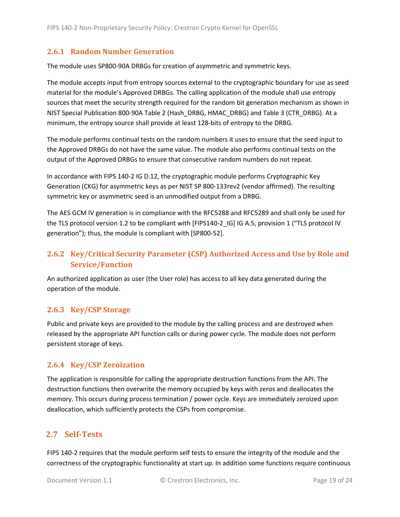#### <span id="page-18-0"></span>**2.6.1 Random Number Generation**

The module uses SP800-90A DRBGs for creation of asymmetric and symmetric keys.

The module accepts input from entropy sources external to the cryptographic boundary for use as seed material for the module's Approved DRBGs. The calling application of the module shall use entropy sources that meet the security strength required for the random bit generation mechanism as shown in NIST Special Publication 800-90A Table 2 (Hash\_DRBG, HMAC\_DRBG) and Table 3 (CTR\_DRBG). At a minimum, the entropy source shall provide at least 128-bits of entropy to the DRBG.

The module performs continual tests on the random numbers it uses to ensure that the seed input to the Approved DRBGs do not have the same value. The module also performs continual tests on the output of the Approved DRBGs to ensure that consecutive random numbers do not repeat.

In accordance with FIPS 140-2 IG D.12, the cryptographic module performs Cryptographic Key Generation (CKG) for asymmetric keys as per NIST SP 800-133rev2 (vendor affirmed). The resulting symmetric key or asymmetric seed is an unmodified output from a DRBG.

The AES GCM IV generation is in compliance with the RFC5288 and RFC5289 and shall only be used for the TLS protocol version 1.2 to be compliant with [FIPS140-2 IG] IG A.5, provision 1 ("TLS protocol IV generation"); thus, the module is compliant with [SP800-52].

# <span id="page-18-1"></span>**2.6.2 Key/Critical Security Parameter (CSP) Authorized Access and Use by Role and Service/Function**

An authorized application as user (the User role) has access to all key data generated during the operation of the module.

#### <span id="page-18-2"></span>**2.6.3 Key/CSP Storage**

Public and private keys are provided to the module by the calling process and are destroyed when released by the appropriate API function calls or during power cycle. The module does not perform persistent storage of keys.

#### <span id="page-18-3"></span>**2.6.4 Key/CSP Zeroization**

The application is responsible for calling the appropriate destruction functions from the API. The destruction functions then overwrite the memory occupied by keys with zeros and deallocates the memory. This occurs during process termination / power cycle. Keys are immediately zeroized upon deallocation, which sufficiently protects the CSPs from compromise.

## <span id="page-18-4"></span>**2.7 Self-Tests**

FIPS 140-2 requires that the module perform self tests to ensure the integrity of the module and the correctness of the cryptographic functionality at start up. In addition some functions require continuous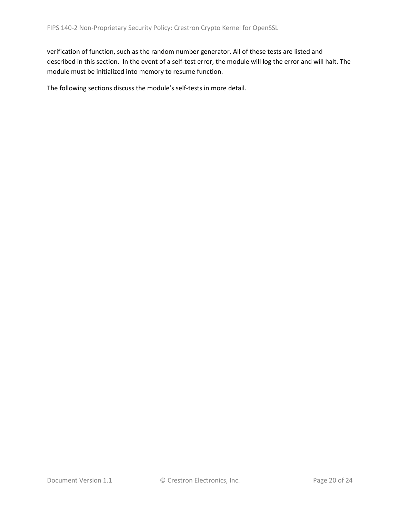verification of function, such as the random number generator. All of these tests are listed and described in this section. In the event of a self-test error, the module will log the error and will halt. The module must be initialized into memory to resume function.

The following sections discuss the module's self-tests in more detail.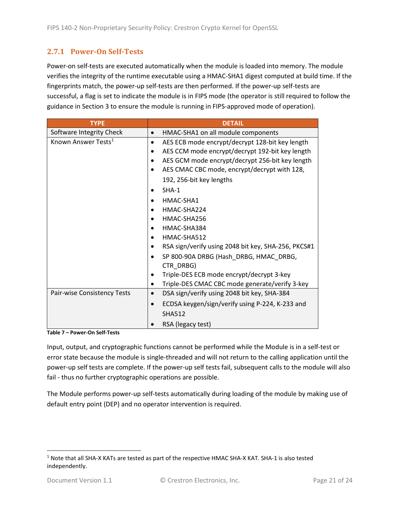#### <span id="page-20-0"></span>**2.7.1 Power-On Self-Tests**

Power-on self-tests are executed automatically when the module is loaded into memory. The module verifies the integrity of the runtime executable using a HMAC-SHA1 digest computed at build time. If the fingerprints match, the power-up self-tests are then performed. If the power-up self-tests are successful, a flag is set to indicate the module is in FIPS mode (the operator is still required to follow the guidance in Section 3 to ensure the module is running in FIPS-approved mode of operation).

| <b>TYPE</b>                     | <b>DETAIL</b>                                               |  |  |  |
|---------------------------------|-------------------------------------------------------------|--|--|--|
| Software Integrity Check        | HMAC-SHA1 on all module components                          |  |  |  |
| Known Answer Tests <sup>1</sup> | AES ECB mode encrypt/decrypt 128-bit key length<br>٠        |  |  |  |
|                                 | AES CCM mode encrypt/decrypt 192-bit key length             |  |  |  |
|                                 | AES GCM mode encrypt/decrypt 256-bit key length             |  |  |  |
|                                 | AES CMAC CBC mode, encrypt/decrypt with 128,                |  |  |  |
|                                 | 192, 256-bit key lengths                                    |  |  |  |
|                                 | $SHA-1$                                                     |  |  |  |
|                                 | HMAC-SHA1                                                   |  |  |  |
|                                 | HMAC-SHA224<br>$\bullet$                                    |  |  |  |
|                                 | HMAC-SHA256                                                 |  |  |  |
|                                 | HMAC-SHA384                                                 |  |  |  |
|                                 | HMAC-SHA512                                                 |  |  |  |
|                                 | RSA sign/verify using 2048 bit key, SHA-256, PKCS#1         |  |  |  |
|                                 | SP 800-90A DRBG (Hash DRBG, HMAC DRBG,<br>CTR_DRBG)         |  |  |  |
|                                 | Triple-DES ECB mode encrypt/decrypt 3-key                   |  |  |  |
|                                 | Triple-DES CMAC CBC mode generate/verify 3-key<br>$\bullet$ |  |  |  |
| Pair-wise Consistency Tests     | DSA sign/verify using 2048 bit key, SHA-384<br>$\bullet$    |  |  |  |
|                                 | ECDSA keygen/sign/verify using P-224, K-233 and             |  |  |  |
|                                 | <b>SHA512</b>                                               |  |  |  |
|                                 | RSA (legacy test)                                           |  |  |  |

**Table 7 – Power-On Self-Tests**

Input, output, and cryptographic functions cannot be performed while the Module is in a self-test or error state because the module is single-threaded and will not return to the calling application until the power-up self tests are complete. If the power-up self tests fail, subsequent calls to the module will also fail - thus no further cryptographic operations are possible.

The Module performs power-up self-tests automatically during loading of the module by making use of default entry point (DEP) and no operator intervention is required.

<span id="page-20-1"></span><sup>1</sup> Note that all SHA-X KATs are tested as part of the respective HMAC SHA-X KAT. SHA-1 is also tested independently.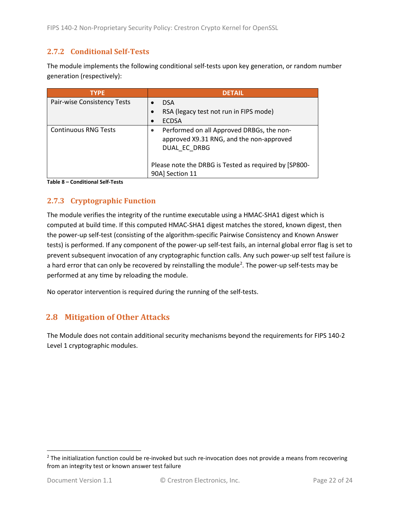#### <span id="page-21-0"></span>**2.7.2 Conditional Self-Tests**

The module implements the following conditional self-tests upon key generation, or random number generation (respectively):

| <b>TYPE</b>                 | <b>DETAIL</b>                                                                                         |
|-----------------------------|-------------------------------------------------------------------------------------------------------|
| Pair-wise Consistency Tests | <b>DSA</b>                                                                                            |
|                             | RSA (legacy test not run in FIPS mode)                                                                |
|                             | <b>ECDSA</b>                                                                                          |
| <b>Continuous RNG Tests</b> | Performed on all Approved DRBGs, the non-<br>approved X9.31 RNG, and the non-approved<br>DUAL EC DRBG |
|                             | Please note the DRBG is Tested as required by [SP800-<br>90A] Section 11                              |

**Table 8 – Conditional Self-Tests**

## <span id="page-21-1"></span>**2.7.3 Cryptographic Function**

The module verifies the integrity of the runtime executable using a HMAC-SHA1 digest which is computed at build time. If this computed HMAC-SHA1 digest matches the stored, known digest, then the power-up self-test (consisting of the algorithm-specific Pairwise Consistency and Known Answer tests) is performed. If any component of the power-up self-test fails, an internal global error flag is set to prevent subsequent invocation of any cryptographic function calls. Any such power-up self test failure is a hard error that can only be recovered by reinstalling the module<sup>[2](#page-21-3)</sup>. The power-up self-tests may be performed at any time by reloading the module.

No operator intervention is required during the running of the self-tests.

## <span id="page-21-2"></span>**2.8 Mitigation of Other Attacks**

The Module does not contain additional security mechanisms beyond the requirements for FIPS 140-2 Level 1 cryptographic modules.

<span id="page-21-3"></span> $2$  The initialization function could be re-invoked but such re-invocation does not provide a means from recovering from an integrity test or known answer test failure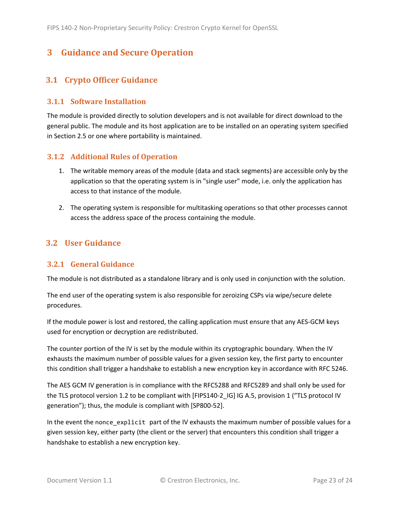# <span id="page-22-0"></span>**3 Guidance and Secure Operation**

## <span id="page-22-1"></span>**3.1 Crypto Officer Guidance**

#### <span id="page-22-2"></span>**3.1.1 Software Installation**

The module is provided directly to solution developers and is not available for direct download to the general public. The module and its host application are to be installed on an operating system specified in Section [2.5](#page-13-2) or one where portability is maintained.

#### <span id="page-22-3"></span>**3.1.2 Additional Rules of Operation**

- 1. The writable memory areas of the module (data and stack segments) are accessible only by the application so that the operating system is in "single user" mode, i.e. only the application has access to that instance of the module.
- 2. The operating system is responsible for multitasking operations so that other processes cannot access the address space of the process containing the module.

## <span id="page-22-4"></span>**3.2 User Guidance**

#### <span id="page-22-5"></span>**3.2.1 General Guidance**

The module is not distributed as a standalone library and is only used in conjunction with the solution.

The end user of the operating system is also responsible for zeroizing CSPs via wipe/secure delete procedures.

If the module power is lost and restored, the calling application must ensure that any AES-GCM keys used for encryption or decryption are redistributed.

The counter portion of the IV is set by the module within its cryptographic boundary. When the IV exhausts the maximum number of possible values for a given session key, the first party to encounter this condition shall trigger a handshake to establish a new encryption key in accordance with RFC 5246.

The AES GCM IV generation is in compliance with the RFC5288 and RFC5289 and shall only be used for the TLS protocol version 1.2 to be compliant with [FIPS140-2 IG] IG A.5, provision 1 ("TLS protocol IV generation"); thus, the module is compliant with [SP800-52].

In the event the nonce\_explicit part of the IV exhausts the maximum number of possible values for a given session key, either party (the client or the server) that encounters this condition shall trigger a handshake to establish a new encryption key.